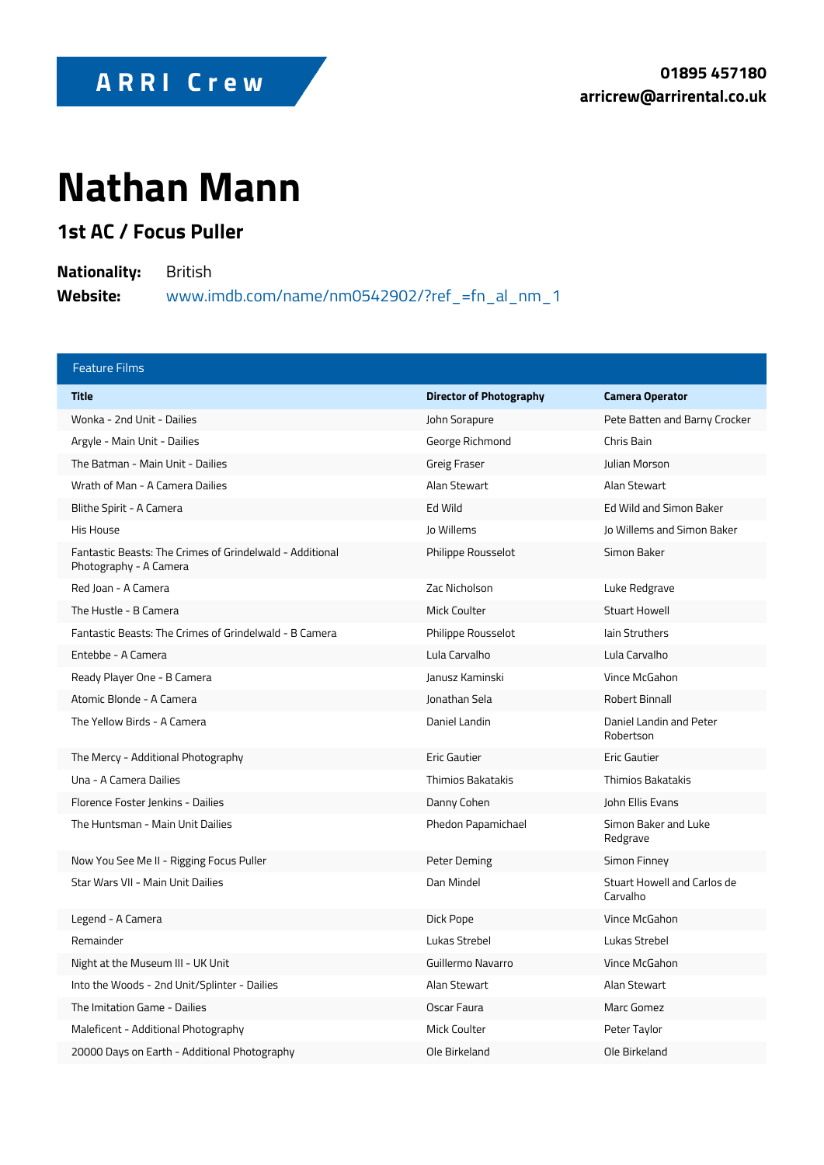## Nathan Mann

1st AC / Focus Puller

NationalitByritish

Website: www.imdb.com/name/nm0542902/?ref\_=fn\_al\_nm\_1

| Feature Films                                                       |                      |                                  |
|---------------------------------------------------------------------|----------------------|----------------------------------|
| Title                                                               | Director of Photogra | Camera Operator                  |
| Wonka - 2nd Unit - Dailies                                          | John Sorapure        | Pete Batten and Bar              |
| Argyle - Main Unit - Dailies                                        | George Richmond      | Chris Bain                       |
| The Batman - Main Unit - Dailies                                    | Greig Fraser         | Julian Morson                    |
| Wrath of Man - A Camera Dailies                                     | Alan Stewart         | Alan Stewart                     |
| Blithe Spirit - A Camera                                            | Ed Wild              | Ed Wild and Simon E              |
| His House                                                           | Jo Willems           | Jo Willems and Sime              |
| Fantastic Beasts: The Crimes of Grindelw:<br>Photography - A Camera | Philippe Rousselot   | Simon Baker                      |
| Red Joan - A Camera                                                 | Zac Nicholson        | Luke Redgrave                    |
| The Hustle - B Camera                                               | Mick Coulter         | Stuart Howell                    |
| Fantastic Beasts: The Crimes of GrindelwaldPhiBipOpæmReoausselot    |                      | lain Struthers                   |
| Entebbe - A Camera                                                  | Lula Carvalho        | Lula Carvalho                    |
| Ready Player One - B Camera                                         | Janusz Kaminski      | Vince McGahon                    |
| Atomic Blonde - A Camera                                            | Jonathan Sela        | Robert Binnall                   |
| The Yellow Birds - A Camera                                         | Daniel Landin        | Daniel Landin and P<br>Robertson |
| The Mercy - Additional Photography                                  | Eric Gautier         | Eric Gautier                     |
| Una – A Camera Dailies                                              | Thimios Bakatakis    | Thimios Bakatakis                |
| Florence Foster Jenkins - Dailies                                   | Danny Cohen          | John Ellis Evans                 |
| The Huntsman - Main Unit Dailies                                    | Phedon Papamichael   | Simon Baker and Lu<br>Redgrave   |
| Now You See Me II - Rigging Focus Puller                            | Peter Deming         | Simon Finney                     |
| Star Wars VII - Main Unit Dailies                                   | Dan Mindel           | Stuart Howell and C<br>Carvalho  |
| Legend - A Camera                                                   | Dick Pope            | Vince McGahon                    |
| Remainder                                                           | Lukas Strebel        | Lukas Strebel                    |
| Night at the Museum III - UK Unit                                   | Guillermo Navarro    | Vince McGahon                    |
| Into the Woods - 2nd Unit/Splinter - Dailies Alan Stewart           |                      | Alan Stewart                     |
| The Imitation Game - Dailies                                        | Oscar Faura          | Marc Gomez                       |
| Maleficent - Additional Photography                                 | Mick Coulter         | Peter Taylor                     |
| 20000 Days on Earth - Additional Photogra                           | Ole Birkeland        | Ole Birkeland                    |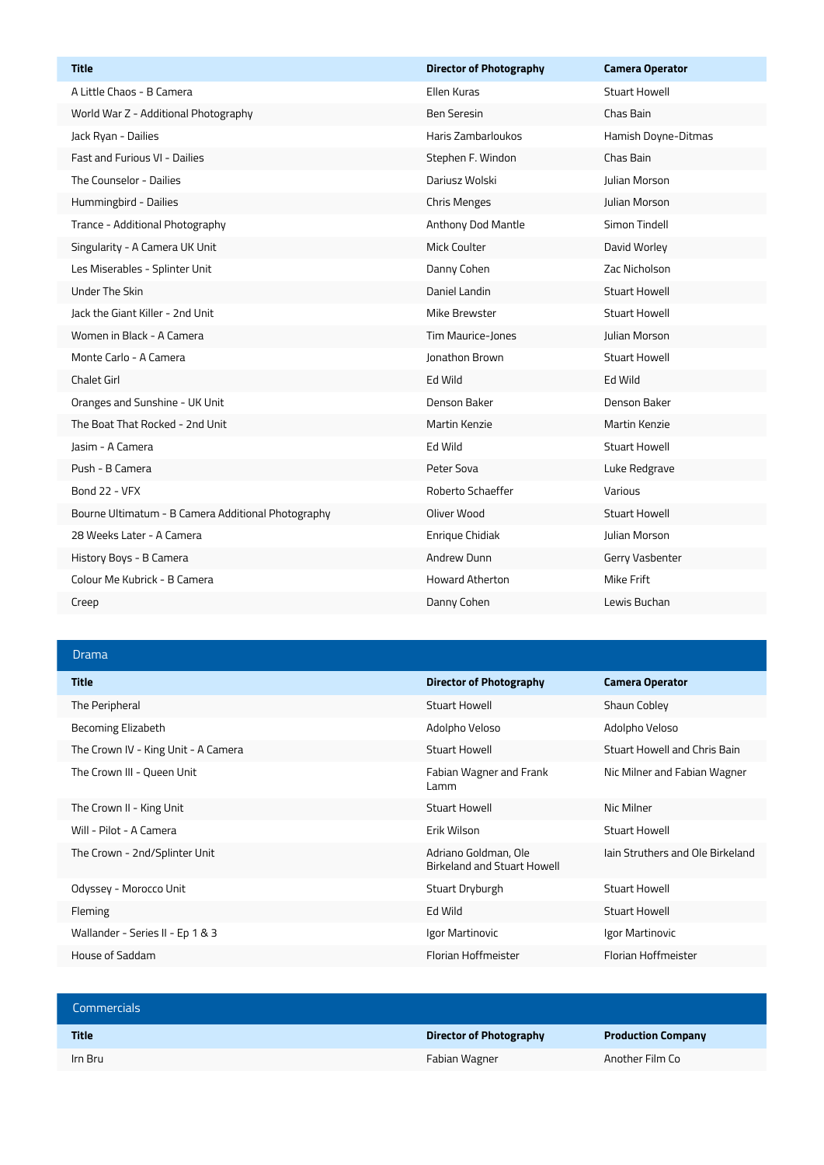| <b>Title</b>                                       | <b>Director of Photography</b> | <b>Camera Operator</b> |
|----------------------------------------------------|--------------------------------|------------------------|
| A Little Chaos - B Camera                          | Ellen Kuras                    | Stuart Howell          |
| World War Z - Additional Photography               | <b>Ben Seresin</b>             | Chas Bain              |
| Jack Ryan - Dailies                                | Haris Zambarloukos             | Hamish Doyne-Ditmas    |
| Fast and Furious VI - Dailies                      | Stephen F. Windon              | Chas Bain              |
| The Counselor - Dailies                            | Dariusz Wolski                 | <b>Julian Morson</b>   |
| Hummingbird - Dailies                              | <b>Chris Menges</b>            | Julian Morson          |
| Trance - Additional Photography                    | Anthony Dod Mantle             | Simon Tindell          |
| Singularity - A Camera UK Unit                     | <b>Mick Coulter</b>            | David Worley           |
| Les Miserables - Splinter Unit                     | Danny Cohen                    | Zac Nicholson          |
| <b>Under The Skin</b>                              | Daniel Landin                  | <b>Stuart Howell</b>   |
| Jack the Giant Killer - 2nd Unit                   | Mike Brewster                  | <b>Stuart Howell</b>   |
| Women in Black - A Camera                          | Tim Maurice-Jones              | Julian Morson          |
| Monte Carlo - A Camera                             | <b>Jonathon Brown</b>          | Stuart Howell          |
| <b>Chalet Girl</b>                                 | Ed Wild                        | Ed Wild                |
| Oranges and Sunshine - UK Unit                     | Denson Baker                   | Denson Baker           |
| The Boat That Rocked - 2nd Unit                    | Martin Kenzie                  | <b>Martin Kenzie</b>   |
| Jasim - A Camera                                   | Ed Wild                        | <b>Stuart Howell</b>   |
| Push - B Camera                                    | Peter Sova                     | Luke Redgrave          |
| Bond 22 - VFX                                      | Roberto Schaeffer              | Various                |
| Bourne Ultimatum - B Camera Additional Photography | Oliver Wood                    | <b>Stuart Howell</b>   |
| 28 Weeks Later - A Camera                          | Enrique Chidiak                | <b>Julian Morson</b>   |
| History Boys - B Camera                            | Andrew Dunn                    | Gerry Vasbenter        |
| Colour Me Kubrick - B Camera                       | <b>Howard Atherton</b>         | <b>Mike Frift</b>      |
| Creep                                              | Danny Cohen                    | Lewis Buchan           |

## Drama

 $\overline{\phantom{a}}$ 

| <b>Title</b>                        | <b>Director of Photography</b>                      | <b>Camera Operator</b>           |
|-------------------------------------|-----------------------------------------------------|----------------------------------|
| The Peripheral                      | Stuart Howell                                       | Shaun Cobley                     |
| Becoming Elizabeth                  | Adolpho Veloso                                      | Adolpho Veloso                   |
| The Crown IV - King Unit - A Camera | Stuart Howell                                       | Stuart Howell and Chris Bain     |
| The Crown III - Queen Unit          | Fabian Wagner and Frank<br>Lamm                     | Nic Milner and Fabian Wagner     |
| The Crown II - King Unit            | Stuart Howell                                       | Nic Milner                       |
| Will - Pilot - A Camera             | Erik Wilson                                         | Stuart Howell                    |
| The Crown - 2nd/Splinter Unit       | Adriano Goldman, Ole<br>Birkeland and Stuart Howell | Jain Struthers and Ole Birkeland |
| Odyssey - Morocco Unit              | Stuart Dryburgh                                     | Stuart Howell                    |
| Fleming                             | Ed Wild                                             | Stuart Howell                    |
| Wallander - Series II - Ep 1 & 3    | Igor Martinovic                                     | Igor Martinovic                  |
| House of Saddam                     | Florian Hoffmeister                                 | Florian Hoffmeister              |

| <b>Commercials</b> |                         |                           |
|--------------------|-------------------------|---------------------------|
| <b>Title</b>       | Director of Photography | <b>Production Company</b> |
| Irn Bru            | Fabian Wagner           | Another Film Co           |